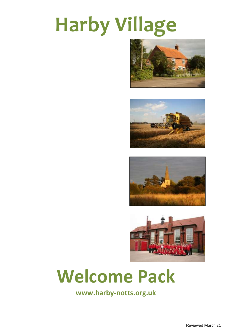# **Harby Village**









## **Welcome Pack**

**www.harby-notts.org.uk**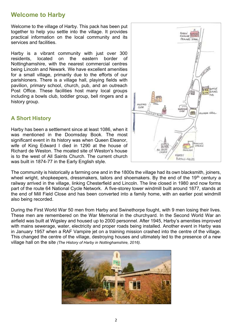## **Welcome to Harby**

Welcome to the village of Harby. This pack has been put together to help you settle into the village. It provides practical information on the local community and its services and facilities.

Harby is a vibrant community with just over 300 residents, located on the eastern border of Nottinghamshire, with the nearest commercial centres being Lincoln and Newark. We have excellent amenities for a small village, primarily due to the efforts of our parishioners. There is a village hall, playing fields with pavilion, primary school, church, pub, and an outreach Post Office. These facilities host many local groups including a bowls club, toddler group, bell ringers and a history group.

#### **A Short History**

Harby has been a settlement since at least 1086, when it was mentioned in the Doomsday Book. The most significant event in its history was when Queen Eleanor, wife of King Edward I died in 1290 at the house of Richard de Weston. The moated site of Weston's house is to the west of All Saints Church. The current church was built in 1874-77 in the Early English style.



The community is historically a farming one and in the 1800s the village had its own blacksmith, joiners, wheel wright, shopkeepers, dressmakers, tailors and shoemakers. By the end of the 19<sup>th</sup> century a railway arrived in the village, linking Chesterfield and Lincoln. The line closed in 1980 and now forms part of the route 64 National Cycle Network. A five-storey tower windmill built around 1877, stands at the end of Mill Field Close and has been converted into a family home, with an earlier post windmill also being recorded.

During the First World War 50 men from Harby and Swinethorpe fought, with 9 men losing their lives. These men are remembered on the War Memorial in the churchyard. In the Second World War an airfield was built at Wigsley and housed up to 2000 personnel. After 1945, Harby's amenities improved with mains sewerage, water, electricity and proper roads being installed. Another event in Harby was in January 1957 when a RAF Vampire jet on a training mission crashed into the centre of the village. This changed the centre of the village, destroying houses and ultimately led to the presence of a new village hall on the site *(The History of Harby in Nottinghamshire, 2016).*

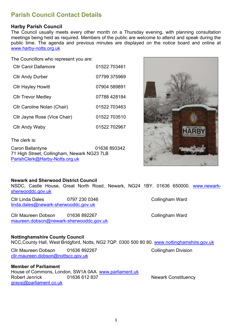## **Parish Council Contact Details**

#### **Harby Parish Council**

The Council usually meets every other month on a Thursday evening, with planning consultation meetings being held as required. Members of the public are welcome to attend and speak during the public time. The agenda and previous minutes are displayed on the notice board and online at [www.harby-notts.org.uk](http://www.harby-notts.org.uk/)

The Councillors who represent you are:

| <b>Cllr Carol Dallamore</b>  | 01522 703461 |
|------------------------------|--------------|
| <b>Cllr Andy Durber</b>      | 07799 375969 |
| <b>CIIr Hayley Howitt</b>    | 07904 589891 |
| <b>CIIr Trevor Medley</b>    | 07788 428184 |
| Cllr Caroline Nolan (Chair)  | 01522 703463 |
| Cllr Jayne Rose (Vice Chair) | 01522 703510 |
| <b>Cllr Andy Waby</b>        | 01522 702967 |
| ·The clerk is                |              |

I he clerk is:

Caron Ballantyne **120 101636 893342** 71 High Street, Collingham, Newark NG23 7LB [ParishClerk@Harby-Notts.org.uk](mailto:ParishClerk@Harby-Notts.org.uk)

#### **Newark and Sherwood District Council**

NSDC, Castle House, Great North Road, Newark, NG24 1BY. 01636 650000. [www.newark](file:///C:/Users/Jayne/Downloads/www.newark-sherwooddc.gov.uk)[sherwooddc.gov.uk](file:///C:/Users/Jayne/Downloads/www.newark-sherwooddc.gov.uk)

Cllr Linda Dales 0797 230 0346 Collingham Ward [linda.dales@newark-sherwooddc.gov.uk](mailto:linda.dales@newark-sherwooddc.gov.uk)

Cllr Maureen Dobson 01636 892267 Collingham Ward [maureen.dobson@newark-sherwooddc.gov.uk](mailto:maureen.dobson@newark-sherwooddc.gov.uk)

#### **Nottinghamshire County Council**

NCC,County Hall, West Bridgford, Notts, NG2 7QP. 0300 500 80 80. [www.nottinghamshire.gov.uk](http://www.nottinghamshire.gov.uk/)

Cllr Maureen Dobson 01636 892267 Collingham Division [cllr.maureen.dobson@nottscc.gov.uk](mailto:cllr.maureen.dobson@nottscc.gov.uk)

#### **Member of Parliament**

House of Commons, London, SW1A 0AA.<www.parliament.uk> Robert Jenrick **01636 612 837** Newark Constituency [graysj@parliament.co.uk](mailto:graysj@parliament.co.uk)

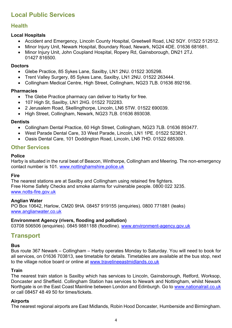## **Local Public Services**

### **Health**

#### **Local Hospitals**

- Accident and Emergency, Lincoln County Hospital, Greetwell Road, LN2 5QY, 01522 512512.
- Minor Injury Unit, Newark Hospital, Boundary Road, Newark, NG24 4DE. 01636 681681.
- Minor Injury Unit, John Coupland Hospital, Ropery Rd, Gainsborough, DN21 2TJ. 01427 816500.

#### **Doctors**

- Glebe Practice, 85 Sykes Lane, Saxilby, LN1 2NU. 01522 305298.
- Trent Valley Surgery, 85 Sykes Lane, Saxilby, LN1 2NU. 01522 263444.
- Collingham Medical Centre, High Street, Collingham, NG23 7LB. 01636 892156.

#### **Pharmacies**

- The Glebe Practice pharmacy can deliver to Harby for free.
- 107 High St, Saxilby, LN1 2HG. 01522 702283.
- 2 Jerusalem Road, Skellingthorpe, Lincoln, LN6 5TW. 01522 690039.
- High Street, Collingham, Newark, NG23 7LB. 01636 893038.

#### **Dentists**

- Collingham Dental Practice, 60 High Street, Collingham, NG23 7LB. 01636 893477.
- West Parade Dental Care, 33 West Parade, Lincoln, LN1 1PE. 01522 523821.
- Oasis Dental Care, 101 Doddington Road, Lincoln, LN6 7HD. 01522 685309.

#### **Other Services**

#### **Police**

Harby is situated in the rural beat of Beacon, Winthorpe, Collingham and Meering. The non-emergency contact number is 101. [www.nottinghamshire.police.uk](http://www.nottinghamshire.police.uk/)

#### **Fire**

The nearest stations are at Saxilby and Collingham using retained fire fighters. Free Home Safety Checks and smoke alarms for vulnerable people. 0800 022 3235. [www.notts-fire.gov.uk](http://www.notts-fire.gov.uk/)

#### **Anglian Water**

PO Box 10642, Harlow, CM20 9HA. 08457 919155 (enquiries). 0800 771881 (leaks) [www.anglianwater.co.uk](http://www.anglianwater.co.uk/)

#### **Environment Agency (rivers, flooding and pollution)**

03708 506506 (enquiries). 0845 9881188 (floodline). <www.environment-agency.gov.uk>

## **Transport**

#### **Bus**

Bus route 367 Newark – Collingham – Harby operates Monday to Saturday. You will need to book for all services, on 01636 703813, see timetable for details. Timetables are available at the bus stop, next to the village notice board or online at [www.travelineeastmidlands.co.uk](http://www.travelineeastmidlands.co.uk/)

#### **Train**

The nearest train station is Saxilby which has services to Lincoln, Gainsborough, Retford, Worksop, Doncaster and Sheffield. Collingham Station has services to Newark and Nottingham, whilst Newark Northgate is on the East Coast Mainline between London and Edinburgh. Go to [www.nationalrail.co.uk](http://www.nationalrail.co.uk/) or call 08457 48 49 50 for times/tickets.

#### **Airports**

The nearest regional airports are East Midlands, Robin Hood Doncaster, Humberside and Birmingham.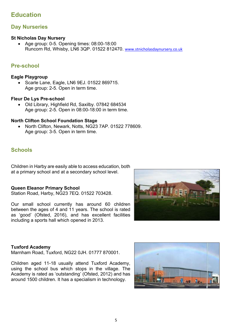## **Education**

#### **Day Nurseries**

#### **St Nicholas Day Nursery**

• Age group: 0-5. Opening times: 08:00-18:00 Runcorn Rd, Whisby, LN6 3QP. 01522 812470. [www.stnicholasdaynursery.co.uk](http://www.stnicholasdaynursery.co.uk/)

#### **Pre-school**

#### **Eagle Playgroup**

• Scarle Lane, Eagle, LN6 9EJ. 01522 869715. Age group: 2-5. Open in term time.

#### **Fleur De Lys Pre-school**

• Old Library, Highfield Rd, Saxilby. 07842 684534 Age group: 2-5. Open in 08:00-18:00 in term time.

#### **North Clifton School Foundation Stage**

• North Clifton, Newark, Notts, NG23 7AP. 01522 778609. Age group: 3-5. Open in term time.

#### **Schools**

Children in Harby are easily able to access education, both at a primary school and at a secondary school level.

#### **Queen Eleanor Primary School**

Station Road, Harby, NG23 7EQ. 01522 703428.

Our small school currently has around 60 children between the ages of 4 and 11 years. The school is rated as 'good' (Ofsted, 2016), and has excellent facilities including a sports hall which opened in 2013.



#### **Tuxford Academy**

Marnham Road, Tuxford, NG22 0JH. 01777 870001.

Children aged 11-18 usually attend Tuxford Academy, using the school bus which stops in the village. The Academy is rated as 'outstanding' (Ofsted, 2012) and has around 1500 children. It has a specialism in technology.

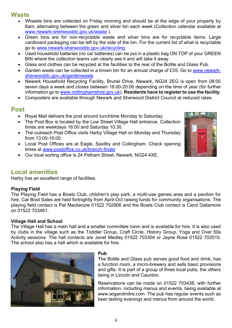## **Waste**

- Wheelie bins are collected on Friday morning and should be at the edge of your property by 6am, alternating between the green and silver bin each week (Collection calendar available at [www.newark-sherwooddc.gov.uk/waste](http://www.newark-sherwooddc.gov.uk/waste) ).
- Green bins are for non-recyclable waste and silver bins are for recyclable items. Large cardboard packaging can be left by the side of the bin. For the current list of what is recyclable go to [www.newark-sherwooddc.gov.uk/recycling.](http://www.newark-sherwooddc.gov.uk/recycling)
- Used household batteries (no car batteries) can be put in a plastic bag ON TOP of your GREEN BIN where the collection teams can clearly see it and will take it away.
- Glass and clothes can be recycled at the facilities to the rear of the Bottle and Glass Pub.
- Garden waste can be collected in a brown bin for an annual charge of £35. Go to [www.newark](http://www.newark-sherwooddc.gov.uk/gardenwaste/)[sherwooddc.gov.uk/gardenwaste](http://www.newark-sherwooddc.gov.uk/gardenwaste/)
- Newark Household Recycling Facility, Brunel Drive, Newark, NG24 2EG is open from 08:00 seven days a week and closes between 16:00-20:00 depending on the time of year (for further information go to [www.nottinghamshire.gov.uk\)](http://www.nottinghamshire.gov.uk/). **Residents have to register to use the facility**.
- Composters are available through Newark and Sherwood District Council at reduced rates.

## **Post**

- Royal Mail delivers the post around lunchtime Monday to Saturday.
- The Post Box is located by the Low Street Village Hall entrance. Collection times are weekdays 16:00 and Saturday 10.30.
- The outreach Post Office visits Harby Village Hall on Monday and Thursday from 13:00-16:00.
- Local Post Offices are at Eagle, Saxilby and Collingham. Check opening times at [www.postoffice.co.uk/branch-finder](http://www.postoffice.co.uk/branch-finder)
- Our local sorting office is 24 Pelham Street, Newark, NG24 4XE.

## **Local amenities**

Harby has an excellent range of facilities.

#### **Playing Field**

The Playing Field has a Bowls Club, children's play park, a multi-use games area and a pavilion for hire. Car Boot Sales are held fortnightly from April-Oct raising funds for community organisations. The playing field contact is Pat Mackenzie 01522 702906 and the Bowls Club contact is Carol Dallamore on 01522 703461.

#### **Village Hall and School**

The Village Hall has a main hall and a smaller committee room and is available for hire. It is also used by clubs in the village such as the Toddler Group, Craft Circle, History Group, Yoga and Over 50s Activity sessions. The hall contacts are Janet Medley 01522 703304 or Jayne Rose 01522 703510. The school also has a hall which is available for hire.



#### **Pub**

The Bottle and Glass pub serves good food and drink, has a function room, a micro-brewery and sells basic provisions and gifts. It is part of a group of three local pubs, the others being in Lincoln and Caunton.

Reservations can be made on 01522 703438, with further information, including menus and events, being available at [www.wigandmitre.com.](http://www.wigandmitre.comt/) The pub has regular events such as beer tasting evenings and menus from around the world.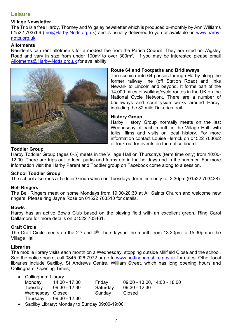#### **Leisure**

#### **Village Newsletter**

The Trio is a free Harby, Thorney and Wigsley newsletter which is produced bi-monthly by Ann Williams 01522 703766 (trio@Harby-Notts.org.uk) and is usually delivered to you or available on [www.harby](http://www.harby-notts.org.uk/)[notts.org.uk](http://www.harby-notts.org.uk/)

#### **Allotments**

Residents can rent allotments for a modest fee from the Parish Council. They are sited on Wigsley Road and vary in size from under  $100m^2$  to over  $300m^2$ . If you may be interested please email [Allotments@Harby-Notts.org.uk](mailto:Allotments@Harby-Notts.org.uk) for availability.



#### **Route 64 and Footpaths and Bridleways**

The scenic route 64 passes through Harby along the former railway line (off Station Road) and links Newark to Lincoln and beyond. It forms part of the 14,000 miles of walking/cycle routes in the UK on the National Cycle Network. There are a number of bridleways and countryside walks around Harby, including the 32 mile Dukeries trail.

#### **History Group**

Harby History Group normally meets on the last Wednesday of each month in the Village Hall, with talks, films and visits on local history. For more information contact Louise Herrick on 01522 703662 or look out for events on the notice board.

#### **Toddler Group**

Harby Toddler Group (ages 0-5) meets in the Village Hall on Thursdays (term time only) from 10:00- 12:00. There are trips out to local parks and farms etc in the holidays and in the summer. For more information visit the Harby Parent and Toddler group on Facebook come along to a session.

#### **School Toddler Group**

The school also runs a Toddler Group which on Tuesdays (term time only) at 2.30pm (01522 703428).

#### **Bell Ringers**

The Bell Ringers meet on some Mondays from 19:00-20:30 at All Saints Church and welcome new ringers. Please ring Jayne Rose on 01522 703510 for details.

#### **Bowls**

Harby has an active Bowls Club based on the playing field with an excellent green. Ring Carol Dallamore for more details on 01522 703461.

#### **Craft Circle**

The Craft Circle meets on the 2<sup>nd</sup> and 4<sup>th</sup> Thursdays in the month from 13:30pm to 15:30pm in the Village Hall.

#### **Libraries**

The mobile library visits each month on a Wednesday, stopping outside Millfield Close and the school. See the notice board, call 0845 026 7972 or go to [www.nottinghamshire.gov.uk](http://www.nottinghamshire.gov.uk/) for dates. Other local libraries include Saxilby, St Andrews Centre, William Street, which has long opening hours and Collingham. Opening Times;

| <b>Collingham Library</b> |                 |  |
|---------------------------|-----------------|--|
| Mondov                    | $14.00 - 17.00$ |  |

| Monday           | 14:00 - 17:00            | Friday   | $09:30 - 13:00, 14:00 - 18:00$ |
|------------------|--------------------------|----------|--------------------------------|
| Tuesdav          | 09:30 - 12.30            | Saturday | 09:30 - 12.30                  |
| Wednesday Closed |                          | Sunday   | Closed                         |
|                  | Thursday $09:30 - 12.30$ |          |                                |

• Saxilby Library: Monday to Sunday 09:00-19:00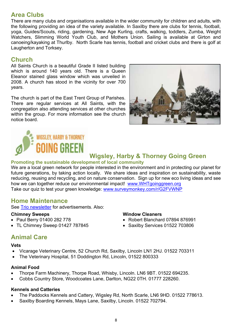## **Area Clubs**

There are many clubs and organisations available in the wider community for children and adults, with the following providing an idea of the variety available. In Saxilby there are clubs for tennis, football, yoga, Guides/Scouts, riding, gardening, New Age Kurling, crafts, walking, toddlers, Zumba, Weight Watchers, Slimming World Youth Club, and Mothers Union. Sailing is available at Girton and canoeing/kayaking at Thurlby. North Scarle has tennis, football and cricket clubs and there is golf at Laugherton and Torksey.

## **Church**

All Saints Church is a beautiful Grade II listed building which is around 140 years old. There is a Queen Eleanor stained glass window which was unveiled in 2008. A church has stood in the vicinity for over 700 years.

The church is part of the East Trent Group of Parishes. There are regular services at All Saints, with the congregation also attending services at other churches within the group. For more information see the church notice board.





## **Wigsley, Harby & Thorney Going Green**

#### **Promoting the sustainable development of local community**

We are a local green network for people interested in the environment and in protecting our planet for future generations, by taking action locally. We share ideas and inspiration on sustainability, waste reducing, reusing and recycling, and on nature conservation. Sign up for new eco living ideas and see how we can together reduce our environmental impact! [www.WHTgoinggreen.org](http://www.whtgoinggreen.org/) Take our quiz to test your green knowledge: [www.surveymonkey.com/r/G2FVWNP](http://www.surveymonkey.com/r/G2FVWNP)

## **Home Maintenance**

See Trio [newsletter](http://www.harby-notts.org.uk/community/harby-parish-council-nottinghamshire-7782/trio-newsletter/) for advertisements. Also:

#### **Chimney Sweeps**

- Paul Berry 01400 282 778
- TL Chimney Sweep 01427 787845

#### **Window Cleaners**

- Robert Blanchard 07894 876991
- Saxilby Services 01522 703806

## **Animal Care**

#### **Vets**

- Vicarage Veterinary Centre, 52 Church Rd, Saxilby, Lincoln LN1 2HJ. 01522 703311
- The Veterinary Hospital, 51 Doddington Rd, Lincoln, 01522 800333

#### **Animal Food**

- Thorpe Farm Machinery, Thorpe Road, Whisby, Lincoln. LN6 9BT. 01522 694235.
- Cobbs Country Store, Woodcoates Lane, Darlton, NG22 0TH. 01777 228260.

#### **Kennels and Catteries**

- The Paddocks Kennels and Cattery, Wigsley Rd, North Scarle, LN6 9HD. 01522 778613.
- Saxilby Boarding Kennels, Mays Lane, Saxilby, Lincoln. 01522 702794.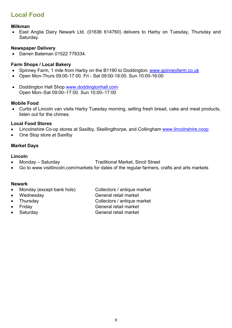## **Local Food**

#### **Milkman**

• East Anglia Dairy Newark Ltd. (01636 614760) delivers to Harby on Tuesday, Thursday and Saturday.

#### **Newspaper Delivery**

• Darren Bateman 01522 778334

#### **Farm Shops / Local Bakery**

- Spinney Farm, 1 mile from Harby on the B1190 to Doddington. [www.spinneyfarm.co.uk](http://www.spinneyfarm.co.uk/)
- Open Mon-Thurs 09:00-17:00. Fri Sat 09:00-18:00. Sun 10:00-16:00
- Doddington Hall Shop [www.doddingtonhall.com](http://www.doddingtonhall.com/) Open Mon–Sat 09:00–17:00. Sun 10:00–17:00

#### **Mobile Food**

• Curtis of Lincoln van visits Harby Tuesday morning, selling fresh bread, cake and meat products, listen out for the chimes.

#### **Local Food Stores**

- Lincolnshire Co-op stores at Saxilby, Skellingthorpe, and Collingham [www.lincolnshire.coop](http://www.lincolnshire.coop/)
- One Stop store at Saxilby

#### **Market Days**

#### **Lincoln**

- Monday Saturday Traditional Market, Sincil Street
- Go to [www.visitlincoln.com/markets](http://www.visitlincoln.com/markets) for dates of the regular farmers, crafts and arts markets

#### **Newark**

- Monday (except bank hols) Collectors / antique market
- Wednesday General retail market
- 
- 
- 
- 
- Thursday Collectors / antique market
- Friday General retail market
- Saturday General retail market